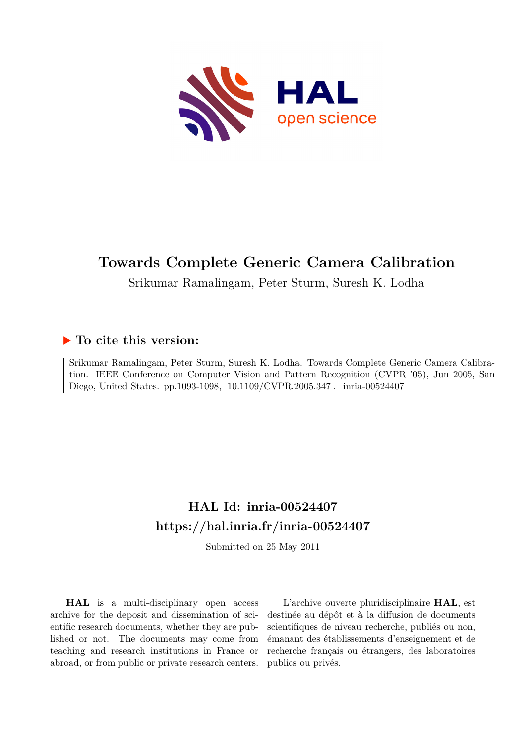

# **Towards Complete Generic Camera Calibration**

Srikumar Ramalingam, Peter Sturm, Suresh K. Lodha

# **To cite this version:**

Srikumar Ramalingam, Peter Sturm, Suresh K. Lodha. Towards Complete Generic Camera Calibration. IEEE Conference on Computer Vision and Pattern Recognition (CVPR '05), Jun 2005, San Diego, United States. pp.1093-1098, 10.1109/CVPR.2005.347. inria-00524407

# **HAL Id: inria-00524407 <https://hal.inria.fr/inria-00524407>**

Submitted on 25 May 2011

**HAL** is a multi-disciplinary open access archive for the deposit and dissemination of scientific research documents, whether they are published or not. The documents may come from teaching and research institutions in France or abroad, or from public or private research centers.

L'archive ouverte pluridisciplinaire **HAL**, est destinée au dépôt et à la diffusion de documents scientifiques de niveau recherche, publiés ou non, émanant des établissements d'enseignement et de recherche français ou étrangers, des laboratoires publics ou privés.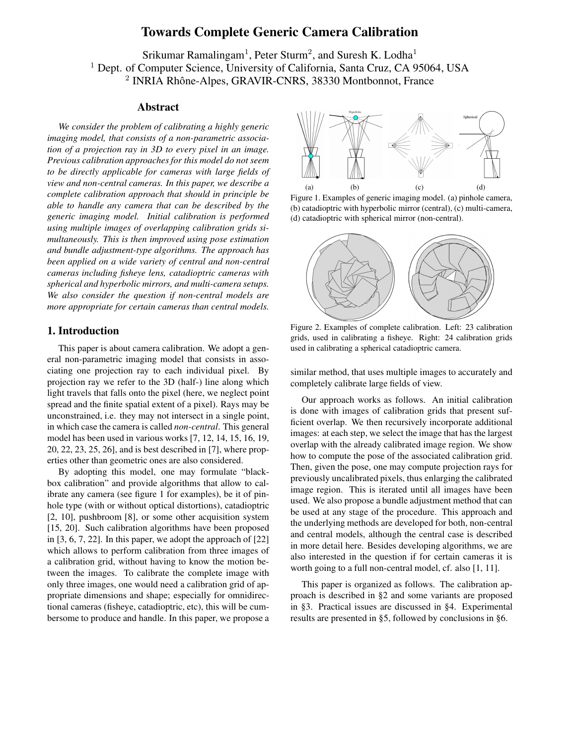# **Towards Complete Generic Camera Calibration**

Srikumar Ramalingam<sup>1</sup>, Peter Sturm<sup>2</sup>, and Suresh K. Lodha<sup>1</sup> <sup>1</sup> Dept. of Computer Science, University of California, Santa Cruz, CA 95064, USA 2 INRIA Rhône-Alpes, GRAVIR-CNRS, 38330 Montbonnot, France

## **Abstract**

*We consider the problem of calibrating a highly generic imaging model, that consists of a non-parametric association of a projection ray in 3D to every pixel in an image. Previous calibration approaches for this model do not seem to be directly applicable for cameras with large fields of view and non-central cameras. In this paper, we describe a complete calibration approach that should in principle be able to handle any camera that can be described by the generic imaging model. Initial calibration is performed using multiple images of overlapping calibration grids simultaneously. This is then improved using pose estimation and bundle adjustment-type algorithms. The approach has been applied on a wide variety of central and non-central cameras including fisheye lens, catadioptric cameras with spherical and hyperbolic mirrors, and multi-camera setups. We also consider the question if non-central models are more appropriate for certain cameras than central models.*

# **1. Introduction**

This paper is about camera calibration. We adopt a general non-parametric imaging model that consists in associating one projection ray to each individual pixel. By projection ray we refer to the 3D (half-) line along which light travels that falls onto the pixel (here, we neglect point spread and the finite spatial extent of a pixel). Rays may be unconstrained, i.e. they may not intersect in a single point, in which case the camera is called *non-central*. This general model has been used in various works [7, 12, 14, 15, 16, 19, 20, 22, 23, 25, 26], and is best described in [7], where properties other than geometric ones are also considered.

By adopting this model, one may formulate "blackbox calibration" and provide algorithms that allow to calibrate any camera (see figure 1 for examples), be it of pinhole type (with or without optical distortions), catadioptric [2, 10], pushbroom [8], or some other acquisition system [15, 20]. Such calibration algorithms have been proposed in [3, 6, 7, 22]. In this paper, we adopt the approach of [22] which allows to perform calibration from three images of a calibration grid, without having to know the motion between the images. To calibrate the complete image with only three images, one would need a calibration grid of appropriate dimensions and shape; especially for omnidirectional cameras (fisheye, catadioptric, etc), this will be cumbersome to produce and handle. In this paper, we propose a



Figure 1. Examples of generic imaging model. (a) pinhole camera, (b) catadioptric with hyperbolic mirror (central), (c) multi-camera, (d) catadioptric with spherical mirror (non-central).



Figure 2. Examples of complete calibration. Left: 23 calibration grids, used in calibrating a fisheye. Right: 24 calibration grids used in calibrating a spherical catadioptric camera.

similar method, that uses multiple images to accurately and completely calibrate large fields of view.

Our approach works as follows. An initial calibration is done with images of calibration grids that present sufficient overlap. We then recursively incorporate additional images: at each step, we select the image that has the largest overlap with the already calibrated image region. We show how to compute the pose of the associated calibration grid. Then, given the pose, one may compute projection rays for previously uncalibrated pixels, thus enlarging the calibrated image region. This is iterated until all images have been used. We also propose a bundle adjustment method that can be used at any stage of the procedure. This approach and the underlying methods are developed for both, non-central and central models, although the central case is described in more detail here. Besides developing algorithms, we are also interested in the question if for certain cameras it is worth going to a full non-central model, cf. also [1, 11].

This paper is organized as follows. The calibration approach is described in §2 and some variants are proposed in §3. Practical issues are discussed in §4. Experimental results are presented in §5, followed by conclusions in §6.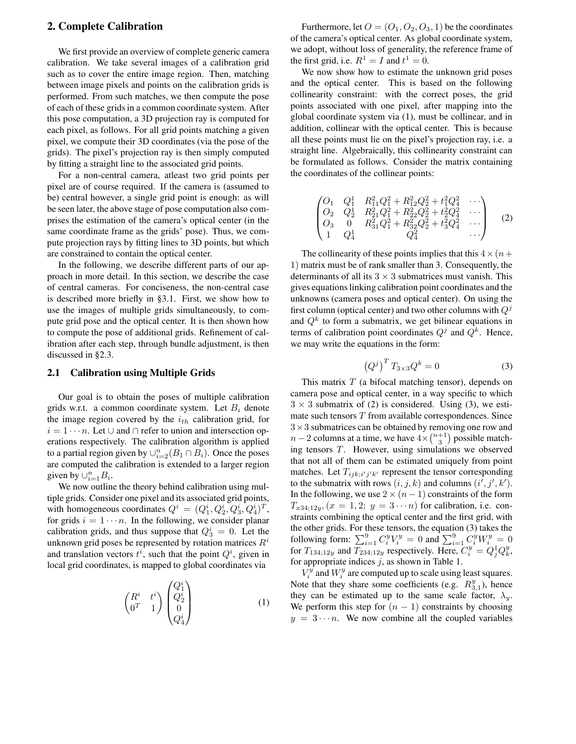# **2. Complete Calibration**

We first provide an overview of complete generic camera calibration. We take several images of a calibration grid such as to cover the entire image region. Then, matching between image pixels and points on the calibration grids is performed. From such matches, we then compute the pose of each of these grids in a common coordinate system. After this pose computation, a 3D projection ray is computed for each pixel, as follows. For all grid points matching a given pixel, we compute their 3D coordinates (via the pose of the grids). The pixel's projection ray is then simply computed by fitting a straight line to the associated grid points.

For a non-central camera, atleast two grid points per pixel are of course required. If the camera is (assumed to be) central however, a single grid point is enough: as will be seen later, the above stage of pose computation also comprises the estimation of the camera's optical center (in the same coordinate frame as the grids' pose). Thus, we compute projection rays by fitting lines to 3D points, but which are constrained to contain the optical center.

In the following, we describe different parts of our approach in more detail. In this section, we describe the case of central cameras. For conciseness, the non-central case is described more briefly in §3.1. First, we show how to use the images of multiple grids simultaneously, to compute grid pose and the optical center. It is then shown how to compute the pose of additional grids. Refinement of calibration after each step, through bundle adjustment, is then discussed in §2.3.

# **2.1 Calibration using Multiple Grids**

Our goal is to obtain the poses of multiple calibration grids w.r.t. a common coordinate system. Let  $B_i$  denote the image region covered by the  $i_{th}$  calibration grid, for  $i = 1 \cdots n$ . Let  $\cup$  and  $\cap$  refer to union and intersection operations respectively. The calibration algorithm is applied to a partial region given by  $\cup_{i=2}^n (B_1 \cap B_i)$ . Once the poses are computed the calibration is extended to a larger region given by  $\cup_{i=1}^n B_i$ .

We now outline the theory behind calibration using multiple grids. Consider one pixel and its associated grid points, with homogeneous coordinates  $Q^i = (Q_1^i, Q_2^i, Q_3^i, Q_4^i)^T$ , for grids  $i = 1 \cdots n$ . In the following, we consider planar calibration grids, and thus suppose that  $Q_3^i = 0$ . Let the unknown grid poses be represented by rotation matrices  $R<sup>i</sup>$ and translation vectors  $t^i$ , such that the point  $Q^i$ , given in local grid coordinates, is mapped to global coordinates via

$$
\begin{pmatrix} R^i & t^i \\ 0^T & 1 \end{pmatrix} \begin{pmatrix} Q_1^i \\ Q_2^i \\ 0 \\ Q_4^i \end{pmatrix}
$$
 (1)

Furthermore, let  $O = (O_1, O_2, O_3, 1)$  be the coordinates of the camera's optical center. As global coordinate system, we adopt, without loss of generality, the reference frame of the first grid, i.e.  $R^1 = I$  and  $t^1 = 0$ .

We now show how to estimate the unknown grid poses and the optical center. This is based on the following collinearity constraint: with the correct poses, the grid points associated with one pixel, after mapping into the global coordinate system via (1), must be collinear, and in addition, collinear with the optical center. This is because all these points must lie on the pixel's projection ray, i.e. a straight line. Algebraically, this collinearity constraint can be formulated as follows. Consider the matrix containing the coordinates of the collinear points:

$$
\begin{pmatrix}\nO_1 & Q_1^1 & R_{11}^2 Q_1^2 + R_{12}^2 Q_2^2 + t_1^2 Q_4^2 & \cdots \\
O_2 & Q_2^1 & R_{21}^2 Q_1^2 + R_{22}^2 Q_2^2 + t_2^2 Q_4^2 & \cdots \\
O_3 & 0 & R_{31}^2 Q_1^2 + R_{32}^2 Q_2^2 + t_3^2 Q_4^2 & \cdots \\
1 & Q_4^1 & Q_4^2 & \cdots\n\end{pmatrix}
$$
\n(2)

The collinearity of these points implies that this  $4 \times (n+$ 1) matrix must be of rank smaller than 3. Consequently, the determinants of all its  $3 \times 3$  submatrices must vanish. This gives equationslinking calibration point coordinates and the unknowns (camera poses and optical center). On using the first column (optical center) and two other columns with  $Q<sup>j</sup>$ and  $Q<sup>k</sup>$  to form a submatrix, we get bilinear equations in terms of calibration point coordinates  $Q<sup>j</sup>$  and  $Q<sup>k</sup>$ . Hence, we may write the equations in the form:

$$
\left(Q^j\right)^T T_{3\times 3} Q^k = 0 \tag{3}
$$

This matrix  $T$  (a bifocal matching tensor), depends on camera pose and optical center, in a way specific to which  $3 \times 3$  submatrix of (2) is considered. Using (3), we estimate such tensors  $T$  from available correspondences. Since  $3\times3$  submatrices can be obtained by removing one row and  $n-2$  columns at a time, we have  $4\times \binom{n+1}{3}$  possible matching tensors T. However, using simulations we observed that not all of them can be estimated uniquely from point matches. Let  $T_{ijk;i'j'k'}$  represent the tensor corresponding to the submatrix with rows  $(i, j, k)$  and columns  $(i', j', k')$ . In the following, we use  $2 \times (n-1)$  constraints of the form  $T_{x34;12y}$ ,  $(x = 1, 2; y = 3 \cdots n)$  for calibration, i.e. constraints combining the optical center and the first grid, with the other grids. For these tensors, the equation (3) takes the following form:  $\sum_{i=1}^{9} C_i^y V_i^y = 0$  and  $\sum_{i=1}^{9} C_i^y W_i^y = 0$ for  $T_{134,12y}$  and  $T_{234,12y}$  respectively. Here,  $C_i^y = Q_j^1 Q_k^y$ , for appropriate indices  $j$ , as shown in Table 1.

 $V_i^y$  and  $W_i^y$  are computed up to scale using least squares. Note that they share some coefficients (e.g.  $R_{3,1}^y$ ), hence they can be estimated up to the same scale factor,  $\lambda_y$ . We perform this step for  $(n - 1)$  constraints by choosing  $y = 3 \cdots n$ . We now combine all the coupled variables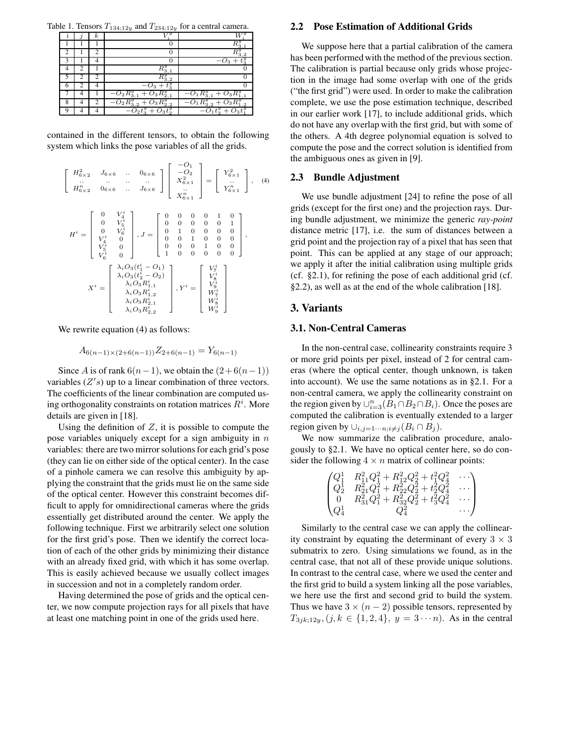Table 1. Tensors  $T_{134;12y}$  and  $T_{234;12y}$  for a central camera.

|   | κ |                                    |                                       |
|---|---|------------------------------------|---------------------------------------|
|   |   |                                    |                                       |
|   |   |                                    |                                       |
|   |   |                                    |                                       |
|   |   |                                    |                                       |
|   |   |                                    |                                       |
|   |   |                                    |                                       |
|   |   | $-O_2R_{3,1}^y$<br>$O_3$           | $-O_1R_{3,1}^y$<br>$\omega_3$         |
| 8 | っ | $O_2R_{3,2}^y +$<br>$O_3R_{2,2}^y$ | $- O_1R_{3,2}^y+O_3R_{1,2}^y$         |
|   |   | $\overline{-O_2}t_3^y + O_3t_2^y$  | $\overline{t}_{3}^{y}+O_{3}t_{1}^{z}$ |

contained in the different tensors, to obtain the following system which links the pose variables of all the grids.

$$
H^{i} = \begin{bmatrix} 0 & V_{4}^{i} \\ 0 & V_{5}^{i} \\ 0 & V_{6}^{i} \\ V_{6}^{i} & 0 \end{bmatrix}, J = \begin{bmatrix} -O_{1} \\ -O_{2} \\ X_{6 \times 1}^{i} \\ 0 & 0 & 0 \\ 0 & 0 & 0 \\ 0 & 0 & 0 \\ 0 & 0 & 0 \\ 0 & 0 & 0 \\ 0 & 0 & 0 \\ 0 & 0 & 0 \\ 0 & 0 & 0 \\ 0 & 0 & 0 \\ 0 & 0 & 0 \\ 0 & 0 & 0 \\ 0 & 0 & 0 \\ 0 & 0 & 0 \\ 0 & 0 & 0 \\ 0 & 0 & 0 \\ 0 & 0 & 0 \\ 0 & 0 & 0 \\ 0 & 0 & 0 \\ 0 & 0 & 0 \\ 0 & 0 & 0 \\ 0 & 0 & 0 \\ 0 & 0 & 0 \\ 0 & 0 & 0 \\ 0 & 0 & 0 \\ 0 & 0 & 0 \\ 0 & 0 & 0 \\ 0 & 0 & 0 \\ 0 & 0 & 0 \\ 0 & 0 & 0 \\ 0 & 0 & 0 \\ 0 & 0 & 0 \\ 0 & 0 & 0 \\ 0 & 0 & 0 \\ 0 & 0 & 0 \\ 0 & 0 & 0 \\ 0 & 0 & 0 \\ 0 & 0 & 0 \\ 0 & 0 & 0 \\ 0 & 0 & 0 \\ 0 & 0 & 0 \\ 0 & 0 & 0 \\ 0 & 0 & 0 \\ 0 & 0 & 0 \\ 0 & 0 & 0 \\ 0 & 0 & 0 \\ 0 & 0 & 0 \\ 0 & 0 & 0 \\ 0 & 0 & 0 \\ 0 & 0 & 0 \\ 0 & 0 & 0 \\ 0 & 0 & 0 \\ 0 & 0 & 0 \\ 0 & 0 & 0 \\ 0 & 0 & 0 \\ 0 & 0 & 0 \\ 0 & 0 & 0 \\ 0 & 0 & 0 \\ 0 & 0 & 0 \\ 0 & 0 & 0 \\ 0 & 0 & 0 \\ 0 & 0 & 0 \\ 0 & 0 & 0 \\ 0 & 0 & 0 \\ 0 & 0 & 0 \\ 0 & 0 & 0 \\ 0 & 0 & 0 \\ 0 & 0 & 0 \\ 0 & 0 & 0 \\ 0 & 0 & 0 \\ 0 & 0 & 0 \\ 0 & 0 & 0 \\ 0 & 0 & 0 \\ 0 & 0 & 0 \\ 0 & 0 & 0 \\
$$

We rewrite equation (4) as follows:

$$
A_{6(n-1)\times(2+6(n-1))}Z_{2+6(n-1)}=Y_{6(n-1)}
$$

Since A is of rank  $6(n-1)$ , we obtain the  $(2+6(n-1))$ variables  $(Z's)$  up to a linear combination of three vectors. The coefficients of the linear combination are computed using orthogonality constraints on rotation matrices  $R^i$ . More details are given in [18].

Using the definition of  $Z$ , it is possible to compute the pose variables uniquely except for a sign ambiguity in  $n$ variables: there are two mirror solutions for each grid's pose (they can lie on either side of the optical center). In the case of a pinhole camera we can resolve this ambiguity by applying the constraint that the grids must lie on the same side of the optical center. However this constraint becomes difficult to apply for omnidirectional cameras where the grids essentially get distributed around the center. We apply the following technique. First we arbitrarily select one solution for the first grid's pose. Then we identify the correct location of each of the other grids by minimizing their distance with an already fixed grid, with which it has some overlap. This is easily achieved because we usually collect images in succession and not in a completely random order.

Having determined the pose of grids and the optical center, we now compute projection rays for all pixels that have at least one matching point in one of the grids used here.

#### **2.2 Pose Estimation of Additional Grids**

We suppose here that a partial calibration of the camera has been performed with the method of the previous section. The calibration is partial because only grids whose projection in the image had some overlap with one of the grids ("the first grid") were used. In order to make the calibration complete, we use the pose estimation technique, described in our earlier work [17], to include additional grids, which do not have any overlap with the first grid, but with some of the others. A 4th degree polynomial equation is solved to compute the pose and the correct solution is identified from the ambiguous ones as given in [9].

#### **2.3 Bundle Adjustment**

We use bundle adjustment [24] to refine the pose of all grids (except for the first one) and the projection rays. During bundle adjustment, we minimize the generic *ray-point* distance metric [17], i.e. the sum of distances between a grid point and the projection ray of a pixel that has seen that point. This can be applied at any stage of our approach; we apply it after the initial calibration using multiple grids (cf. §2.1), for refining the pose of each additional grid (cf. §2.2), as well as at the end of the whole calibration [18].

## **3. Variants**

#### **3.1. Non-Central Cameras**

In the non-central case, collinearity constraints require 3 or more grid points per pixel, instead of 2 for central cameras (where the optical center, though unknown, is taken into account). We use the same notations as in §2.1. For a non-central camera, we apply the collinearity constraint on the region given by  $\cup_{i=3}^n (B_1 \cap B_2 \cap B_i)$ . Once the poses are computed the calibration is eventually extended to a larger region given by  $\cup_{i,j=1\cdots n; i\neq j} (B_i \cap B_j)$ .

We now summarize the calibration procedure, analogously to §2.1. We have no optical center here, so do consider the following  $4 \times n$  matrix of collinear points:

$$
\begin{pmatrix} Q_1^1 & R_{11}^2 Q_1^2 + R_{12}^2 Q_2^2 + t_1^2 Q_4^2 & \cdots \\ Q_2^1 & R_{21}^2 Q_1^2 + R_{22}^2 Q_2^2 + t_2^2 Q_4^2 & \cdots \\ 0 & R_{31}^2 Q_1^2 + R_{32}^2 Q_2^2 + t_3^2 Q_4^2 & \cdots \\ Q_4^1 & Q_4^2 & \cdots \end{pmatrix}
$$

Similarly to the central case we can apply the collinearity constraint by equating the determinant of every  $3 \times 3$ submatrix to zero. Using simulations we found, as in the central case, that not all of these provide unique solutions. In contrast to the central case, where we used the center and the first grid to build a system linking all the pose variables, we here use the first and second grid to build the system. Thus we have  $3 \times (n-2)$  possible tensors, represented by  $T_{3jk;12y}, (j, k \in \{1, 2, 4\}, y = 3 \cdots n)$ . As in the central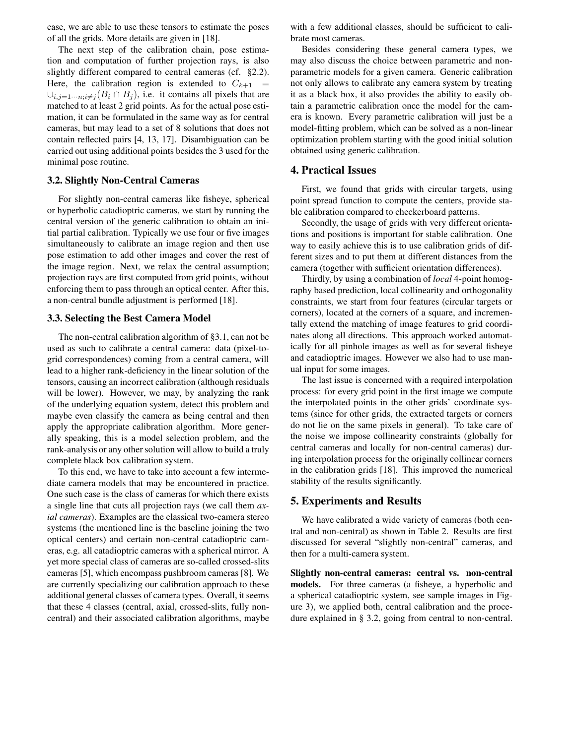case, we are able to use these tensors to estimate the poses of all the grids. More details are given in [18].

The next step of the calibration chain, pose estimation and computation of further projection rays, is also slightly different compared to central cameras (cf. §2.2). Here, the calibration region is extended to  $C_{k+1}$  =  $\cup_{i,j=1\cdots n; i\neq j} (B_i \cap B_j)$ , i.e. it contains all pixels that are matched to at least 2 grid points. As for the actual pose estimation, it can be formulated in the same way as for central cameras, but may lead to a set of 8 solutions that does not contain reflected pairs [4, 13, 17]. Disambiguation can be carried out using additional points besides the 3 used for the minimal pose routine.

#### **3.2. Slightly Non-Central Cameras**

For slightly non-central cameras like fisheye, spherical or hyperbolic catadioptric cameras, we start by running the central version of the generic calibration to obtain an initial partial calibration. Typically we use four or five images simultaneously to calibrate an image region and then use pose estimation to add other images and cover the rest of the image region. Next, we relax the central assumption; projection rays are first computed from grid points, without enforcing them to pass through an optical center. After this, a non-central bundle adjustment is performed [18].

#### **3.3. Selecting the Best Camera Model**

The non-central calibration algorithm of §3.1, can not be used as such to calibrate a central camera: data (pixel-togrid correspondences) coming from a central camera, will lead to a higher rank-deficiency in the linear solution of the tensors, causing an incorrect calibration (although residuals will be lower). However, we may, by analyzing the rank of the underlying equation system, detect this problem and maybe even classify the camera as being central and then apply the appropriate calibration algorithm. More generally speaking, this is a model selection problem, and the rank-analysis or any other solution will allow to build a truly complete black box calibration system.

To this end, we have to take into account a few intermediate camera models that may be encountered in practice. One such case is the class of cameras for which there exists a single line that cuts all projection rays (we call them *axial cameras*). Examples are the classical two-camera stereo systems (the mentioned line is the baseline joining the two optical centers) and certain non-central catadioptric cameras, e.g. all catadioptric cameras with a spherical mirror. A yet more special class of cameras are so-called crossed-slits cameras [5], which encompass pushbroom cameras [8]. We are currently specializing our calibration approach to these additional general classes of camera types. Overall, it seems that these 4 classes (central, axial, crossed-slits, fully noncentral) and their associated calibration algorithms, maybe

with a few additional classes, should be sufficient to calibrate most cameras.

Besides considering these general camera types, we may also discuss the choice between parametric and nonparametric models for a given camera. Generic calibration not only allows to calibrate any camera system by treating it as a black box, it also provides the ability to easily obtain a parametric calibration once the model for the camera is known. Every parametric calibration will just be a model-fitting problem, which can be solved as a non-linear optimization problem starting with the good initial solution obtained using generic calibration.

# **4. Practical Issues**

First, we found that grids with circular targets, using point spread function to compute the centers, provide stable calibration compared to checkerboard patterns.

Secondly, the usage of grids with very different orientations and positions is important for stable calibration. One way to easily achieve this is to use calibration grids of different sizes and to put them at different distances from the camera (together with sufficient orientation differences).

Thirdly, by using a combination of *local* 4-point homography based prediction, local collinearity and orthogonality constraints, we start from four features (circular targets or corners), located at the corners of a square, and incrementally extend the matching of image features to grid coordinates along all directions. This approach worked automatically for all pinhole images as well as for several fisheye and catadioptric images. However we also had to use manual input for some images.

The last issue is concerned with a required interpolation process: for every grid point in the first image we compute the interpolated points in the other grids' coordinate systems (since for other grids, the extracted targets or corners do not lie on the same pixels in general). To take care of the noise we impose collinearity constraints (globally for central cameras and locally for non-central cameras) during interpolation process for the originally collinear corners in the calibration grids [18]. This improved the numerical stability of the results significantly.

## **5. Experiments and Results**

We have calibrated a wide variety of cameras (both central and non-central) as shown in Table 2. Results are first discussed for several "slightly non-central" cameras, and then for a multi-camera system.

**Slightly non-central cameras: central vs. non-central models.** For three cameras (a fisheye, a hyperbolic and a spherical catadioptric system, see sample images in Figure 3), we applied both, central calibration and the procedure explained in § 3.2, going from central to non-central.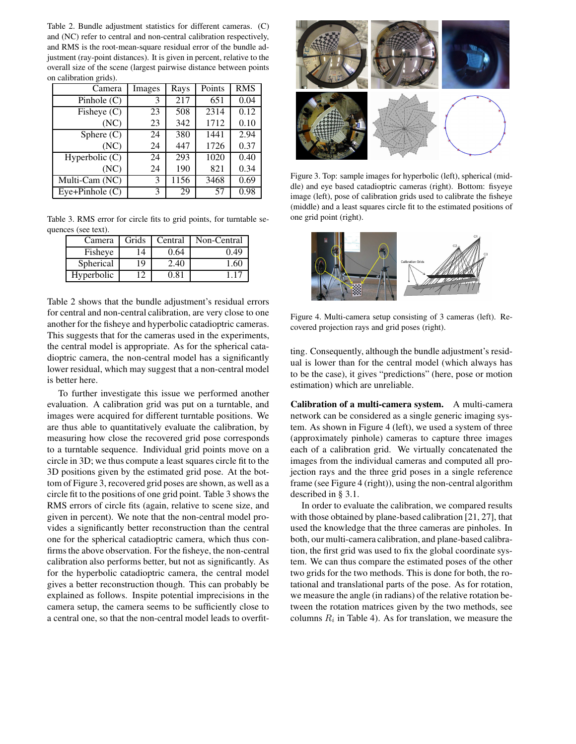Table 2. Bundle adjustment statistics for different cameras. (C) and (NC) refer to central and non-central calibration respectively, and RMS is the root-mean-square residual error of the bundle adjustment (ray-point distances). It is given in percent, relative to the overall size of the scene (largest pairwise distance between points on calibration grids).

| Camera                             | Images | Rays | Points | <b>RMS</b> |
|------------------------------------|--------|------|--------|------------|
| Pinhole $(C)$                      | 3      | 217  | 651    | 0.04       |
| Fisheye $(C)$                      | 23     | 508  | 2314   | 0.12       |
| (NC)                               | 23     | 342  | 1712   | 0.10       |
| Sphere $(C)$                       | 24     | 380  | 1441   | 2.94       |
| (NC)                               | 24     | 447  | 1726   | 0.37       |
| Hyperbolic $(C)$                   | 24     | 293  | 1020   | 0.40       |
| (NC)                               | 24     | 190  | 821    | 0.34       |
| $\overline{\text{Multi-Cam}}$ (NC) | 3      | 1156 | 3468   | 0.69       |
| $Eye+Pinhole$ (C)                  | 3      | 29   | 57     | 0.98       |

Table 3. RMS error for circle fits to grid points, for turntable sequences (see text).

| Camera     | Grids | Central | Non-Central |
|------------|-------|---------|-------------|
| Fisheye    | 14    | 0.64    | 0.49        |
| Spherical  | 19    | 2.40    | 1.60        |
| Hyperbolic |       | በ ጸ1    |             |

Table 2 shows that the bundle adjustment's residual errors for central and non-central calibration, are very close to one another for the fisheye and hyperbolic catadioptric cameras. This suggests that for the cameras used in the experiments, the central model is appropriate. As for the spherical catadioptric camera, the non-central model has a significantly lower residual, which may suggest that a non-central model is better here.

To further investigate this issue we performed another evaluation. A calibration grid was put on a turntable, and images were acquired for different turntable positions. We are thus able to quantitatively evaluate the calibration, by measuring how close the recovered grid pose corresponds to a turntable sequence. Individual grid points move on a circle in 3D; we thus compute a least squares circle fit to the 3D positions given by the estimated grid pose. At the bottom of Figure 3, recovered grid poses are shown, as well as a circle fit to the positions of one grid point. Table 3 shows the RMS errors of circle fits (again, relative to scene size, and given in percent). We note that the non-central model provides a significantly better reconstruction than the central one for the spherical catadioptric camera, which thus confirms the above observation. For the fisheye, the non-central calibration also performs better, but not as significantly. As for the hyperbolic catadioptric camera, the central model gives a better reconstruction though. This can probably be explained as follows. Inspite potential imprecisions in the camera setup, the camera seems to be sufficiently close to a central one, so that the non-central model leads to overfit-



Figure 3. Top: sample images for hyperbolic (left), spherical (middle) and eye based catadioptric cameras (right). Bottom: fisyeye image (left), pose of calibration grids used to calibrate the fisheye (middle) and a least squares circle fit to the estimated positions of one grid point (right).



Figure 4. Multi-camera setup consisting of 3 cameras (left). Recovered projection rays and grid poses (right).

ting. Consequently, although the bundle adjustment's residual is lower than for the central model (which always has to be the case), it gives "predictions" (here, pose or motion estimation) which are unreliable.

**Calibration of a multi-camera system.** A multi-camera network can be considered as a single generic imaging system. As shown in Figure 4 (left), we used a system of three (approximately pinhole) cameras to capture three images each of a calibration grid. We virtually concatenated the images from the individual cameras and computed all projection rays and the three grid poses in a single reference frame (see Figure 4 (right)), using the non-central algorithm described in § 3.1.

In order to evaluate the calibration, we compared results with those obtained by plane-based calibration [21, 27], that used the knowledge that the three cameras are pinholes. In both, our multi-camera calibration, and plane-based calibration, the first grid was used to fix the global coordinate system. We can thus compare the estimated poses of the other two grids for the two methods. This is done for both, the rotational and translational parts of the pose. As for rotation, we measure the angle (in radians) of the relative rotation between the rotation matrices given by the two methods, see columns  $R_i$  in Table 4). As for translation, we measure the